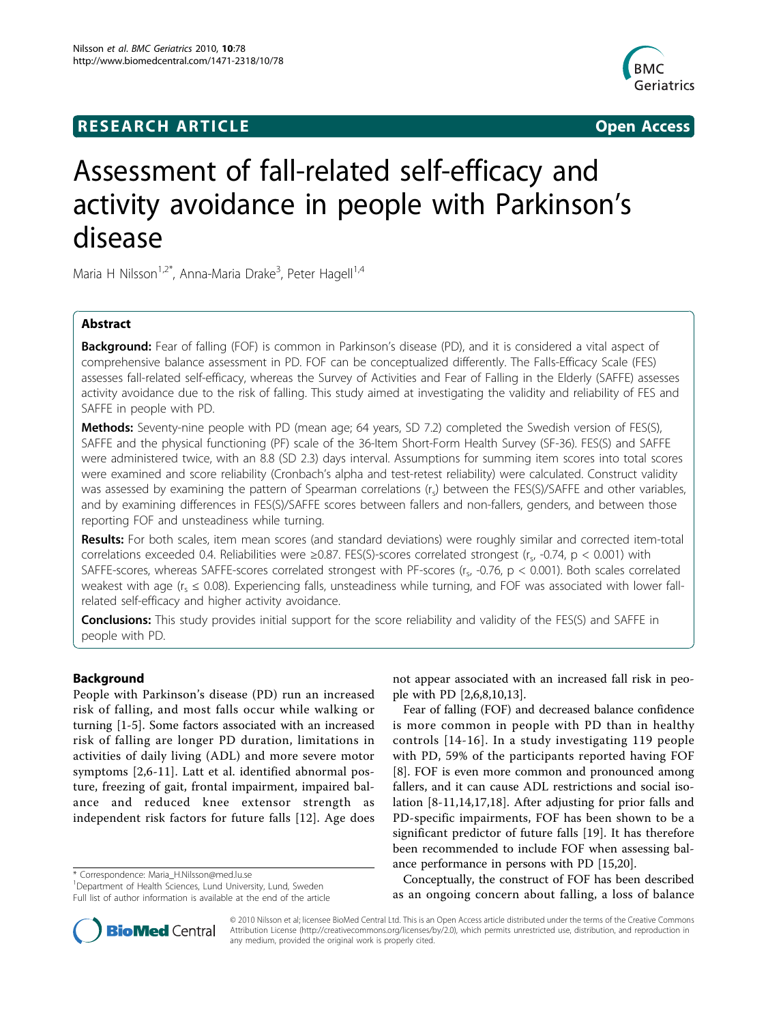# **RESEARCH ARTICLE Example 2014 CONSIDERING ACCESS**



# Assessment of fall-related self-efficacy and activity avoidance in people with Parkinson's disease

Maria H Nilsson<sup>1,2\*</sup>, Anna-Maria Drake<sup>3</sup>, Peter Hagell<sup>1,4</sup>

# Abstract

**Background:** Fear of falling (FOF) is common in Parkinson's disease (PD), and it is considered a vital aspect of comprehensive balance assessment in PD. FOF can be conceptualized differently. The Falls-Efficacy Scale (FES) assesses fall-related self-efficacy, whereas the Survey of Activities and Fear of Falling in the Elderly (SAFFE) assesses activity avoidance due to the risk of falling. This study aimed at investigating the validity and reliability of FES and SAFFE in people with PD.

Methods: Seventy-nine people with PD (mean age; 64 years, SD 7.2) completed the Swedish version of FES(S), SAFFE and the physical functioning (PF) scale of the 36-Item Short-Form Health Survey (SF-36). FES(S) and SAFFE were administered twice, with an 8.8 (SD 2.3) days interval. Assumptions for summing item scores into total scores were examined and score reliability (Cronbach's alpha and test-retest reliability) were calculated. Construct validity was assessed by examining the pattern of Spearman correlations  $(r<sub>s</sub>)$  between the FES(S)/SAFFE and other variables, and by examining differences in FES(S)/SAFFE scores between fallers and non-fallers, genders, and between those reporting FOF and unsteadiness while turning.

Results: For both scales, item mean scores (and standard deviations) were roughly similar and corrected item-total correlations exceeded 0.4. Reliabilities were  $\geq$ 0.87. FES(S)-scores correlated strongest (r<sub>s</sub>, -0.74, p < 0.001) with SAFFE-scores, whereas SAFFE-scores correlated strongest with PF-scores ( $r<sub>s</sub>$  -0.76,  $p < 0.001$ ). Both scales correlated weakest with age ( $r_s \le 0.08$ ). Experiencing falls, unsteadiness while turning, and FOF was associated with lower fallrelated self-efficacy and higher activity avoidance.

Conclusions: This study provides initial support for the score reliability and validity of the FES(S) and SAFFE in people with PD.

# Background

People with Parkinson's disease (PD) run an increased risk of falling, and most falls occur while walking or turning [[1-5](#page-7-0)]. Some factors associated with an increased risk of falling are longer PD duration, limitations in activities of daily living (ADL) and more severe motor symptoms [\[2](#page-7-0),[6-11](#page-7-0)]. Latt et al. identified abnormal posture, freezing of gait, frontal impairment, impaired balance and reduced knee extensor strength as independent risk factors for future falls [\[12](#page-7-0)]. Age does

\* Correspondence: [Maria\\_H.Nilsson@med.lu.se](mailto:Maria_H.Nilsson@med.lu.se)

not appear associated with an increased fall risk in people with PD [\[2,6,8,10,13\]](#page-7-0).

Fear of falling (FOF) and decreased balance confidence is more common in people with PD than in healthy controls [[14](#page-7-0)-[16\]](#page-7-0). In a study investigating 119 people with PD, 59% of the participants reported having FOF [[8\]](#page-7-0). FOF is even more common and pronounced among fallers, and it can cause ADL restrictions and social isolation [[8-11](#page-7-0),[14,17,18\]](#page-7-0). After adjusting for prior falls and PD-specific impairments, FOF has been shown to be a significant predictor of future falls [\[19](#page-7-0)]. It has therefore been recommended to include FOF when assessing balance performance in persons with PD [[15,20\]](#page-7-0).

Conceptually, the construct of FOF has been described as an ongoing concern about falling, a loss of balance



© 2010 Nilsson et al; licensee BioMed Central Ltd. This is an Open Access article distributed under the terms of the Creative Commons Attribution License [\(http://creativecommons.org/licenses/by/2.0](http://creativecommons.org/licenses/by/2.0)), which permits unrestricted use, distribution, and reproduction in any medium, provided the original work is properly cited.

<sup>&</sup>lt;sup>1</sup>Department of Health Sciences, Lund University, Lund, Sweden Full list of author information is available at the end of the article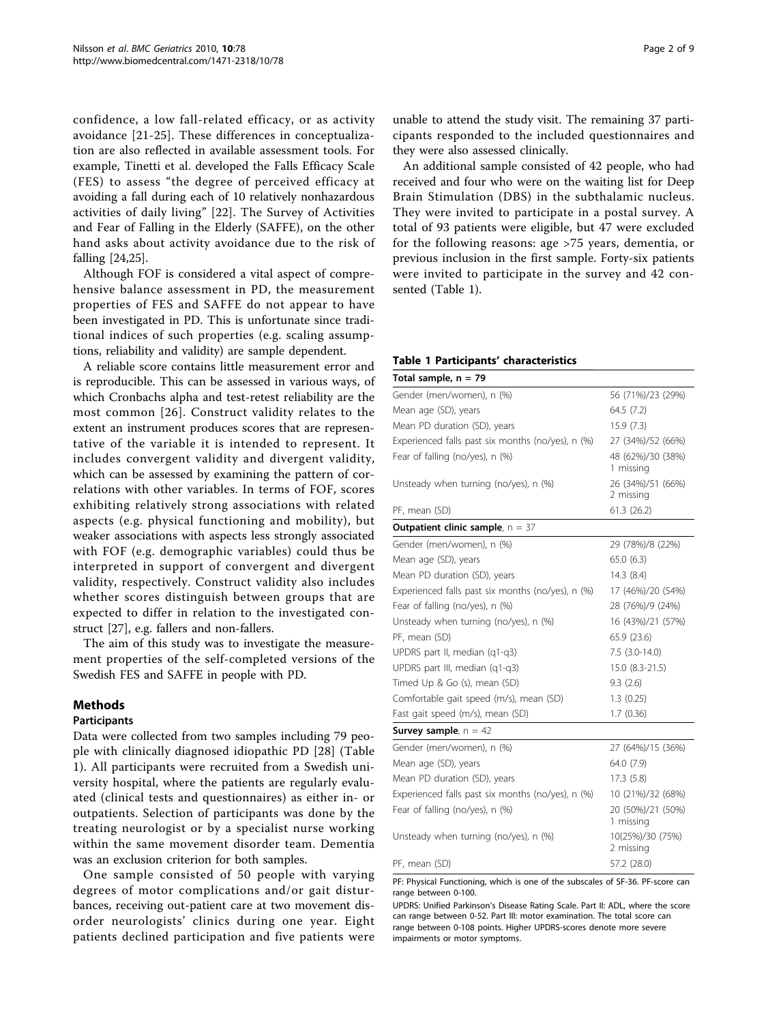<span id="page-1-0"></span>confidence, a low fall-related efficacy, or as activity avoidance [[21-25\]](#page-7-0). These differences in conceptualization are also reflected in available assessment tools. For example, Tinetti et al. developed the Falls Efficacy Scale (FES) to assess "the degree of perceived efficacy at avoiding a fall during each of 10 relatively nonhazardous activities of daily living" [[22](#page-7-0)]. The Survey of Activities and Fear of Falling in the Elderly (SAFFE), on the other hand asks about activity avoidance due to the risk of falling [\[24,25\]](#page-7-0).

Although FOF is considered a vital aspect of comprehensive balance assessment in PD, the measurement properties of FES and SAFFE do not appear to have been investigated in PD. This is unfortunate since traditional indices of such properties (e.g. scaling assumptions, reliability and validity) are sample dependent.

A reliable score contains little measurement error and is reproducible. This can be assessed in various ways, of which Cronbachs alpha and test-retest reliability are the most common [[26](#page-7-0)]. Construct validity relates to the extent an instrument produces scores that are representative of the variable it is intended to represent. It includes convergent validity and divergent validity, which can be assessed by examining the pattern of correlations with other variables. In terms of FOF, scores exhibiting relatively strong associations with related aspects (e.g. physical functioning and mobility), but weaker associations with aspects less strongly associated with FOF (e.g. demographic variables) could thus be interpreted in support of convergent and divergent validity, respectively. Construct validity also includes whether scores distinguish between groups that are expected to differ in relation to the investigated construct [[27](#page-7-0)], e.g. fallers and non-fallers.

The aim of this study was to investigate the measurement properties of the self-completed versions of the Swedish FES and SAFFE in people with PD.

# Methods

#### Participants

Data were collected from two samples including 79 people with clinically diagnosed idiopathic PD [[28\]](#page-7-0) (Table 1). All participants were recruited from a Swedish university hospital, where the patients are regularly evaluated (clinical tests and questionnaires) as either in- or outpatients. Selection of participants was done by the treating neurologist or by a specialist nurse working within the same movement disorder team. Dementia was an exclusion criterion for both samples.

One sample consisted of 50 people with varying degrees of motor complications and/or gait disturbances, receiving out-patient care at two movement disorder neurologists' clinics during one year. Eight patients declined participation and five patients were

unable to attend the study visit. The remaining 37 participants responded to the included questionnaires and they were also assessed clinically.

An additional sample consisted of 42 people, who had received and four who were on the waiting list for Deep Brain Stimulation (DBS) in the subthalamic nucleus. They were invited to participate in a postal survey. A total of 93 patients were eligible, but 47 were excluded for the following reasons: age >75 years, dementia, or previous inclusion in the first sample. Forty-six patients were invited to participate in the survey and 42 consented (Table 1).

#### Table 1 Participants' characteristics

| 56 (71%)/23 (29%)<br>64.5 (7.2)<br>15.9(7.3)<br>27 (34%)/52 (66%)<br>48 (62%)/30 (38%)<br>1 missing<br>26 (34%)/51 (66%)<br>2 missing<br>61.3(26.2)<br>29 (78%)/8 (22%)<br>65.0(6.3)<br>14.3 (8.4)<br>17 (46%)/20 (54%)<br>28 (76%)/9 (24%)<br>16 (43%)/21 (57%)<br>65.9 (23.6)<br>$7.5$ $(3.0-14.0)$<br>15.0 (8.3-21.5)<br>9.3(2.6)<br>1.3(0.25)<br>1.7(0.36)<br>27 (64%)/15 (36%)<br>64.0 (7.9)<br>17.3 (5.8)<br>10 (21%)/32 (68%)<br>20 (50%)/21 (50%)<br>1 missing<br>10(25%)/30 (75%)<br>2 missing<br>57.2 (28.0) | Total sample, n = 79                              |  |
|------------------------------------------------------------------------------------------------------------------------------------------------------------------------------------------------------------------------------------------------------------------------------------------------------------------------------------------------------------------------------------------------------------------------------------------------------------------------------------------------------------------------|---------------------------------------------------|--|
|                                                                                                                                                                                                                                                                                                                                                                                                                                                                                                                        | Gender (men/women), n (%)                         |  |
|                                                                                                                                                                                                                                                                                                                                                                                                                                                                                                                        | Mean age (SD), years                              |  |
|                                                                                                                                                                                                                                                                                                                                                                                                                                                                                                                        | Mean PD duration (SD), years                      |  |
|                                                                                                                                                                                                                                                                                                                                                                                                                                                                                                                        | Experienced falls past six months (no/yes), n (%) |  |
|                                                                                                                                                                                                                                                                                                                                                                                                                                                                                                                        | Fear of falling (no/yes), n (%)                   |  |
|                                                                                                                                                                                                                                                                                                                                                                                                                                                                                                                        | Unsteady when turning (no/yes), n (%)             |  |
|                                                                                                                                                                                                                                                                                                                                                                                                                                                                                                                        | PF, mean (SD)                                     |  |
|                                                                                                                                                                                                                                                                                                                                                                                                                                                                                                                        | <b>Outpatient clinic sample</b> , $n = 37$        |  |
|                                                                                                                                                                                                                                                                                                                                                                                                                                                                                                                        | Gender (men/women), n (%)                         |  |
|                                                                                                                                                                                                                                                                                                                                                                                                                                                                                                                        | Mean age (SD), years                              |  |
|                                                                                                                                                                                                                                                                                                                                                                                                                                                                                                                        | Mean PD duration (SD), years                      |  |
|                                                                                                                                                                                                                                                                                                                                                                                                                                                                                                                        | Experienced falls past six months (no/yes), n (%) |  |
|                                                                                                                                                                                                                                                                                                                                                                                                                                                                                                                        | Fear of falling (no/yes), n (%)                   |  |
|                                                                                                                                                                                                                                                                                                                                                                                                                                                                                                                        | Unsteady when turning (no/yes), n (%)             |  |
|                                                                                                                                                                                                                                                                                                                                                                                                                                                                                                                        | PF, mean (SD)                                     |  |
|                                                                                                                                                                                                                                                                                                                                                                                                                                                                                                                        | UPDRS part II, median (q1-q3)                     |  |
|                                                                                                                                                                                                                                                                                                                                                                                                                                                                                                                        | UPDRS part III, median (q1-q3)                    |  |
|                                                                                                                                                                                                                                                                                                                                                                                                                                                                                                                        | Timed Up & Go (s), mean (SD)                      |  |
|                                                                                                                                                                                                                                                                                                                                                                                                                                                                                                                        | Comfortable gait speed (m/s), mean (SD)           |  |
|                                                                                                                                                                                                                                                                                                                                                                                                                                                                                                                        | Fast gait speed (m/s), mean (SD)                  |  |
|                                                                                                                                                                                                                                                                                                                                                                                                                                                                                                                        | <b>Survey sample</b> , $n = 42$                   |  |
|                                                                                                                                                                                                                                                                                                                                                                                                                                                                                                                        | Gender (men/women), n (%)                         |  |
|                                                                                                                                                                                                                                                                                                                                                                                                                                                                                                                        | Mean age (SD), years                              |  |
|                                                                                                                                                                                                                                                                                                                                                                                                                                                                                                                        | Mean PD duration (SD), years                      |  |
|                                                                                                                                                                                                                                                                                                                                                                                                                                                                                                                        | Experienced falls past six months (no/yes), n (%) |  |
|                                                                                                                                                                                                                                                                                                                                                                                                                                                                                                                        | Fear of falling (no/yes), n (%)                   |  |
|                                                                                                                                                                                                                                                                                                                                                                                                                                                                                                                        | Unsteady when turning (no/yes), n (%)             |  |
|                                                                                                                                                                                                                                                                                                                                                                                                                                                                                                                        | PF, mean (SD)                                     |  |

PF: Physical Functioning, which is one of the subscales of SF-36. PF-score can range between 0-100.

UPDRS: Unified Parkinson's Disease Rating Scale. Part II: ADL, where the score can range between 0-52. Part III: motor examination. The total score can range between 0-108 points. Higher UPDRS-scores denote more severe impairments or motor symptoms.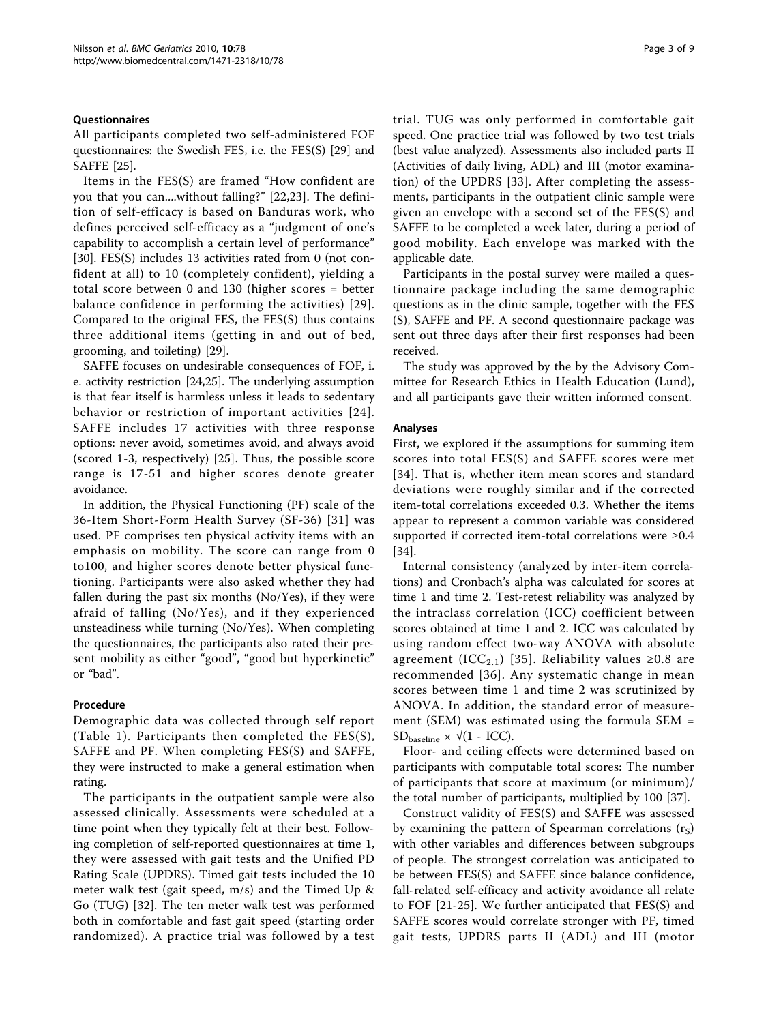### **Ouestionnaires**

All participants completed two self-administered FOF questionnaires: the Swedish FES, i.e. the FES(S) [\[29](#page-7-0)] and SAFFE [[25](#page-7-0)].

Items in the FES(S) are framed "How confident are you that you can....without falling?" [\[22](#page-7-0),[23\]](#page-7-0). The definition of self-efficacy is based on Banduras work, who defines perceived self-efficacy as a "judgment of one's capability to accomplish a certain level of performance" [[30\]](#page-7-0). FES(S) includes 13 activities rated from 0 (not confident at all) to 10 (completely confident), yielding a total score between 0 and 130 (higher scores = better balance confidence in performing the activities) [[29\]](#page-7-0). Compared to the original FES, the FES(S) thus contains three additional items (getting in and out of bed, grooming, and toileting) [[29](#page-7-0)].

SAFFE focuses on undesirable consequences of FOF, i. e. activity restriction [\[24,25\]](#page-7-0). The underlying assumption is that fear itself is harmless unless it leads to sedentary behavior or restriction of important activities [[24\]](#page-7-0). SAFFE includes 17 activities with three response options: never avoid, sometimes avoid, and always avoid (scored 1-3, respectively) [[25](#page-7-0)]. Thus, the possible score range is 17-51 and higher scores denote greater avoidance.

In addition, the Physical Functioning (PF) scale of the 36-Item Short-Form Health Survey (SF-36) [[31\]](#page-7-0) was used. PF comprises ten physical activity items with an emphasis on mobility. The score can range from 0 to100, and higher scores denote better physical functioning. Participants were also asked whether they had fallen during the past six months (No/Yes), if they were afraid of falling (No/Yes), and if they experienced unsteadiness while turning (No/Yes). When completing the questionnaires, the participants also rated their present mobility as either "good", "good but hyperkinetic" or "bad".

# Procedure

Demographic data was collected through self report (Table [1](#page-1-0)). Participants then completed the FES(S), SAFFE and PF. When completing FES(S) and SAFFE, they were instructed to make a general estimation when rating.

The participants in the outpatient sample were also assessed clinically. Assessments were scheduled at a time point when they typically felt at their best. Following completion of self-reported questionnaires at time 1, they were assessed with gait tests and the Unified PD Rating Scale (UPDRS). Timed gait tests included the 10 meter walk test (gait speed, m/s) and the Timed Up & Go (TUG) [[32](#page-7-0)]. The ten meter walk test was performed both in comfortable and fast gait speed (starting order randomized). A practice trial was followed by a test trial. TUG was only performed in comfortable gait speed. One practice trial was followed by two test trials (best value analyzed). Assessments also included parts II (Activities of daily living, ADL) and III (motor examination) of the UPDRS [\[33\]](#page-7-0). After completing the assessments, participants in the outpatient clinic sample were given an envelope with a second set of the FES(S) and SAFFE to be completed a week later, during a period of good mobility. Each envelope was marked with the applicable date.

Participants in the postal survey were mailed a questionnaire package including the same demographic questions as in the clinic sample, together with the FES (S), SAFFE and PF. A second questionnaire package was sent out three days after their first responses had been received.

The study was approved by the by the Advisory Committee for Research Ethics in Health Education (Lund), and all participants gave their written informed consent.

### Analyses

First, we explored if the assumptions for summing item scores into total FES(S) and SAFFE scores were met [[34](#page-7-0)]. That is, whether item mean scores and standard deviations were roughly similar and if the corrected item-total correlations exceeded 0.3. Whether the items appear to represent a common variable was considered supported if corrected item-total correlations were ≥0.4 [[34\]](#page-7-0).

Internal consistency (analyzed by inter-item correlations) and Cronbach's alpha was calculated for scores at time 1 and time 2. Test-retest reliability was analyzed by the intraclass correlation (ICC) coefficient between scores obtained at time 1 and 2. ICC was calculated by using random effect two-way ANOVA with absolute agreement (ICC<sub>2.1</sub>) [[35\]](#page-7-0). Reliability values ≥0.8 are recommended [[36\]](#page-7-0). Any systematic change in mean scores between time 1 and time 2 was scrutinized by ANOVA. In addition, the standard error of measurement (SEM) was estimated using the formula SEM = SD<sub>baseline</sub> ×  $\sqrt{(1 - ICC)}$ .

Floor- and ceiling effects were determined based on participants with computable total scores: The number of participants that score at maximum (or minimum)/ the total number of participants, multiplied by 100 [\[37](#page-7-0)].

Construct validity of FES(S) and SAFFE was assessed by examining the pattern of Spearman correlations  $(r<sub>S</sub>)$ with other variables and differences between subgroups of people. The strongest correlation was anticipated to be between FES(S) and SAFFE since balance confidence, fall-related self-efficacy and activity avoidance all relate to FOF [\[21](#page-7-0)-[25\]](#page-7-0). We further anticipated that FES(S) and SAFFE scores would correlate stronger with PF, timed gait tests, UPDRS parts II (ADL) and III (motor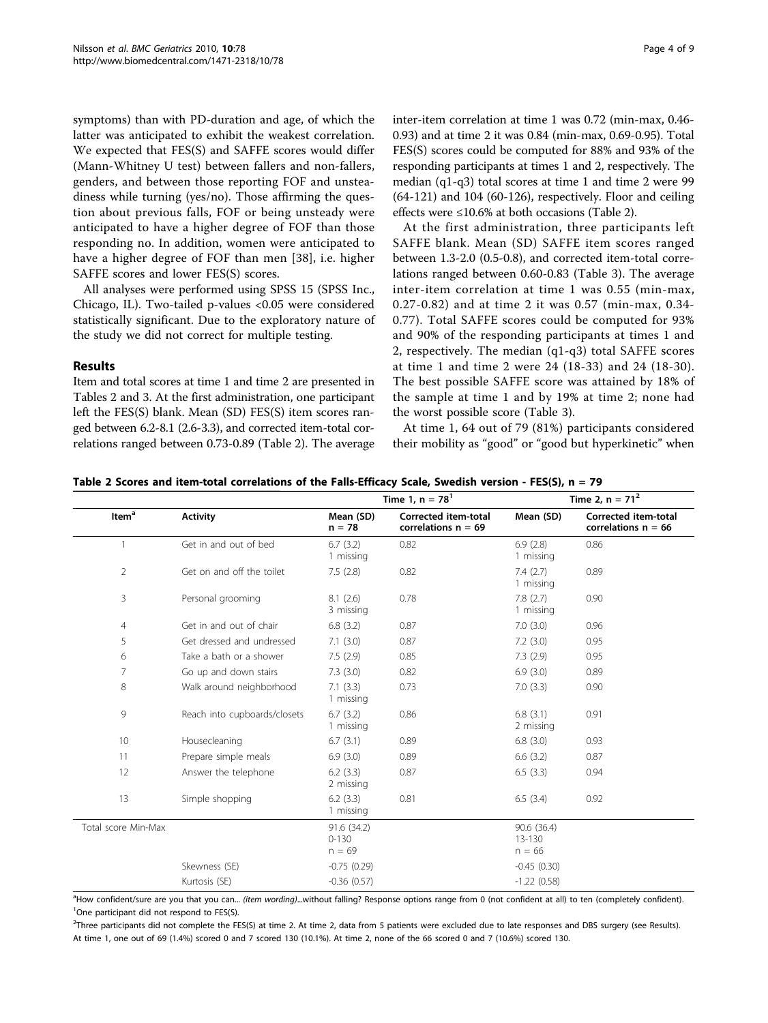symptoms) than with PD-duration and age, of which the latter was anticipated to exhibit the weakest correlation. We expected that FES(S) and SAFFE scores would differ (Mann-Whitney U test) between fallers and non-fallers, genders, and between those reporting FOF and unsteadiness while turning (yes/no). Those affirming the question about previous falls, FOF or being unsteady were anticipated to have a higher degree of FOF than those responding no. In addition, women were anticipated to have a higher degree of FOF than men [\[38\]](#page-7-0), i.e. higher SAFFE scores and lower FES(S) scores.

All analyses were performed using SPSS 15 (SPSS Inc., Chicago, IL). Two-tailed p-values <0.05 were considered statistically significant. Due to the exploratory nature of the study we did not correct for multiple testing.

### Results

Item and total scores at time 1 and time 2 are presented in Tables 2 and [3.](#page-4-0) At the first administration, one participant left the FES(S) blank. Mean (SD) FES(S) item scores ranged between 6.2-8.1 (2.6-3.3), and corrected item-total correlations ranged between 0.73-0.89 (Table 2). The average inter-item correlation at time 1 was 0.72 (min-max, 0.46- 0.93) and at time 2 it was 0.84 (min-max, 0.69-0.95). Total FES(S) scores could be computed for 88% and 93% of the responding participants at times 1 and 2, respectively. The median (q1-q3) total scores at time 1 and time 2 were 99 (64-121) and 104 (60-126), respectively. Floor and ceiling effects were ≤10.6% at both occasions (Table 2).

At the first administration, three participants left SAFFE blank. Mean (SD) SAFFE item scores ranged between 1.3-2.0 (0.5-0.8), and corrected item-total correlations ranged between 0.60-0.83 (Table [3\)](#page-4-0). The average inter-item correlation at time 1 was 0.55 (min-max, 0.27-0.82) and at time 2 it was 0.57 (min-max, 0.34- 0.77). Total SAFFE scores could be computed for 93% and 90% of the responding participants at times 1 and 2, respectively. The median (q1-q3) total SAFFE scores at time 1 and time 2 were 24 (18-33) and 24 (18-30). The best possible SAFFE score was attained by 18% of the sample at time 1 and by 19% at time 2; none had the worst possible score (Table [3\)](#page-4-0).

At time 1, 64 out of 79 (81%) participants considered their mobility as "good" or "good but hyperkinetic" when

|  | Table 2 Scores and item-total correlations of the Falls-Efficacy Scale, Swedish version - FES(S), n = 79 |  |  |
|--|----------------------------------------------------------------------------------------------------------|--|--|
|--|----------------------------------------------------------------------------------------------------------|--|--|

|                     |                              | Time 1, $n = 781$                    |                                               | Time 2, $n = 71^2$                |                                               |
|---------------------|------------------------------|--------------------------------------|-----------------------------------------------|-----------------------------------|-----------------------------------------------|
| Item <sup>a</sup>   | <b>Activity</b>              | Mean (SD)<br>$n = 78$                | Corrected item-total<br>correlations $n = 69$ | Mean (SD)                         | Corrected item-total<br>correlations $n = 66$ |
| $\mathbf{1}$        | Get in and out of bed        | 6.7(3.2)<br>1 missing                | 0.82                                          | 6.9(2.8)<br>1 missing             | 0.86                                          |
| $\overline{2}$      | Get on and off the toilet    | 7.5(2.8)                             | 0.82                                          | 7.4(2.7)<br>1 missing             | 0.89                                          |
| 3                   | Personal grooming            | 8.1(2.6)<br>3 missing                | 0.78                                          | 7.8(2.7)<br>1 missing             | 0.90                                          |
| 4                   | Get in and out of chair      | 6.8(3.2)                             | 0.87                                          | 7.0(3.0)                          | 0.96                                          |
| 5                   | Get dressed and undressed    | 7.1(3.0)                             | 0.87                                          | 7.2(3.0)                          | 0.95                                          |
| 6                   | Take a bath or a shower      | 7.5(2.9)                             | 0.85                                          | 7.3(2.9)                          | 0.95                                          |
| $\overline{7}$      | Go up and down stairs        | 7.3(3.0)                             | 0.82                                          | 6.9(3.0)                          | 0.89                                          |
| 8                   | Walk around neighborhood     | 7.1(3.3)<br>1 missing                | 0.73                                          | 7.0(3.3)                          | 0.90                                          |
| 9                   | Reach into cupboards/closets | 6.7(3.2)<br>1 missing                | 0.86                                          | 6.8(3.1)<br>2 missing             | 0.91                                          |
| 10                  | Housecleaning                | 6.7(3.1)                             | 0.89                                          | 6.8(3.0)                          | 0.93                                          |
| 11                  | Prepare simple meals         | 6.9(3.0)                             | 0.89                                          | 6.6(3.2)                          | 0.87                                          |
| 12                  | Answer the telephone         | 6.2(3.3)<br>2 missing                | 0.87                                          | 6.5(3.3)                          | 0.94                                          |
| 13                  | Simple shopping              | 6.2(3.3)<br>1 missing                | 0.81                                          | 6.5(3.4)                          | 0.92                                          |
| Total score Min-Max |                              | 91.6 (34.2)<br>$0 - 130$<br>$n = 69$ |                                               | 90.6 (36.4)<br>13-130<br>$n = 66$ |                                               |
|                     | Skewness (SE)                | $-0.75(0.29)$                        |                                               | $-0.45(0.30)$                     |                                               |
|                     | Kurtosis (SE)                | $-0.36(0.57)$                        |                                               | $-1.22(0.58)$                     |                                               |

<sup>a</sup>How confident/sure are you that you can... (item wording)...without falling? Response options range from 0 (not confident at all) to ten (completely confident). <sup>1</sup>One participant did not respond to FES(S).

2 Three participants did not complete the FES(S) at time 2. At time 2, data from 5 patients were excluded due to late responses and DBS surgery (see Results). At time 1, one out of 69 (1.4%) scored 0 and 7 scored 130 (10.1%). At time 2, none of the 66 scored 0 and 7 (10.6%) scored 130.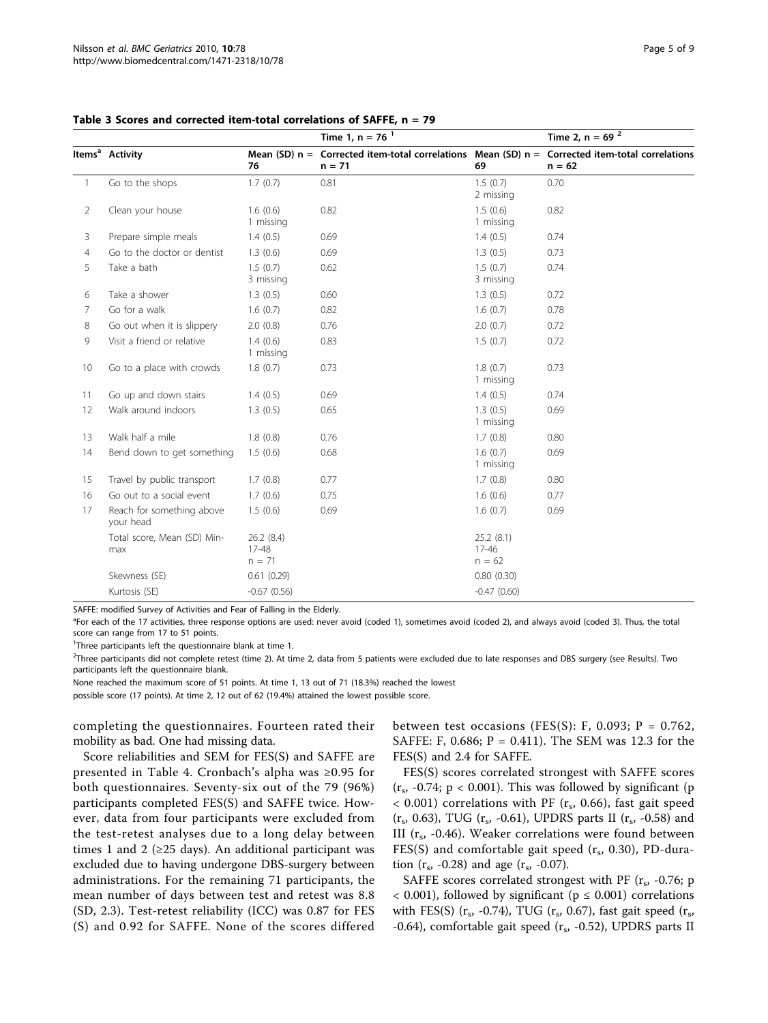|    |                                        |                                    | Time 1, $n = 76$ <sup>1</sup>                                                                                   |                                    | Time 2, $n = 692$ |
|----|----------------------------------------|------------------------------------|-----------------------------------------------------------------------------------------------------------------|------------------------------------|-------------------|
|    | Items <sup>a</sup> Activity            | 76                                 | Mean (SD) $n =$ Corrected item-total correlations Mean (SD) $n =$ Corrected item-total correlations<br>$n = 71$ | 69                                 | $n = 62$          |
| 1  | Go to the shops                        | 1.7(0.7)                           | 0.81                                                                                                            | 1.5(0.7)<br>2 missing              | 0.70              |
| 2  | Clean your house                       | 1.6(0.6)<br>1 missing              | 0.82                                                                                                            | 1.5(0.6)<br>1 missing              | 0.82              |
| 3  | Prepare simple meals                   | 1.4(0.5)                           | 0.69                                                                                                            | 1.4(0.5)                           | 0.74              |
| 4  | Go to the doctor or dentist            | 1.3(0.6)                           | 0.69                                                                                                            | 1.3(0.5)                           | 0.73              |
| 5  | Take a bath                            | 1.5(0.7)<br>3 missing              | 0.62                                                                                                            | 1.5(0.7)<br>3 missing              | 0.74              |
| 6  | Take a shower                          | 1.3(0.5)                           | 0.60                                                                                                            | 1.3(0.5)                           | 0.72              |
| 7  | Go for a walk                          | 1.6(0.7)                           | 0.82                                                                                                            | 1.6(0.7)                           | 0.78              |
| 8  | Go out when it is slippery             | 2.0(0.8)                           | 0.76                                                                                                            | 2.0(0.7)                           | 0.72              |
| 9  | Visit a friend or relative             | 1.4(0.6)<br>1 missing              | 0.83                                                                                                            | 1.5(0.7)                           | 0.72              |
| 10 | Go to a place with crowds              | 1.8(0.7)                           | 0.73                                                                                                            | 1.8(0.7)<br>1 missing              | 0.73              |
| 11 | Go up and down stairs                  | 1.4(0.5)                           | 0.69                                                                                                            | 1.4(0.5)                           | 0.74              |
| 12 | Walk around indoors                    | 1.3(0.5)                           | 0.65                                                                                                            | 1.3(0.5)<br>1 missing              | 0.69              |
| 13 | Walk half a mile                       | 1.8(0.8)                           | 0.76                                                                                                            | 1.7(0.8)                           | 0.80              |
| 14 | Bend down to get something             | 1.5(0.6)                           | 0.68                                                                                                            | 1.6(0.7)<br>1 missing              | 0.69              |
| 15 | Travel by public transport             | 1.7(0.8)                           | 0.77                                                                                                            | 1.7(0.8)                           | 0.80              |
| 16 | Go out to a social event               | 1.7(0.6)                           | 0.75                                                                                                            | 1.6(0.6)                           | 0.77              |
| 17 | Reach for something above<br>your head | 1.5(0.6)                           | 0.69                                                                                                            | 1.6(0.7)                           | 0.69              |
|    | Total score, Mean (SD) Min-<br>max     | 26.2(8.4)<br>$17 - 48$<br>$n = 71$ |                                                                                                                 | 25.2(8.1)<br>$17 - 46$<br>$n = 62$ |                   |
|    | Skewness (SE)                          | 0.61(0.29)                         |                                                                                                                 | 0.80(0.30)                         |                   |
|    | Kurtosis (SE)                          | $-0.67(0.56)$                      |                                                                                                                 | $-0.47(0.60)$                      |                   |

<span id="page-4-0"></span>Table 3 Scores and corrected item-total correlations of SAFFE, n = 79

SAFFE: modified Survey of Activities and Fear of Falling in the Elderly.

<sup>a</sup>For each of the 17 activities, three response options are used: never avoid (coded 1), sometimes avoid (coded 2), and always avoid (coded 3). Thus, the total score can range from 17 to 51 points.

<sup>1</sup>Three participants left the questionnaire blank at time 1.

2 Three participants did not complete retest (time 2). At time 2, data from 5 patients were excluded due to late responses and DBS surgery (see Results). Two participants left the questionnaire blank.

None reached the maximum score of 51 points. At time 1, 13 out of 71 (18.3%) reached the lowest

possible score (17 points). At time 2, 12 out of 62 (19.4%) attained the lowest possible score.

completing the questionnaires. Fourteen rated their mobility as bad. One had missing data.

Score reliabilities and SEM for FES(S) and SAFFE are presented in Table [4](#page-5-0). Cronbach's alpha was ≥0.95 for both questionnaires. Seventy-six out of the 79 (96%) participants completed FES(S) and SAFFE twice. However, data from four participants were excluded from the test-retest analyses due to a long delay between times 1 and 2 ( $\geq$ 25 days). An additional participant was excluded due to having undergone DBS-surgery between administrations. For the remaining 71 participants, the mean number of days between test and retest was 8.8 (SD, 2.3). Test-retest reliability (ICC) was 0.87 for FES (S) and 0.92 for SAFFE. None of the scores differed between test occasions (FES(S): F, 0.093; P = 0.762, SAFFE: F, 0.686;  $P = 0.411$ ). The SEM was 12.3 for the FES(S) and 2.4 for SAFFE.

FES(S) scores correlated strongest with SAFFE scores  $(r<sub>s</sub>, -0.74; p < 0.001)$ . This was followed by significant (p  $<$  0.001) correlations with PF ( $r_s$ , 0.66), fast gait speed ( $r_s$ , 0.63), TUG ( $r_s$ , -0.61), UPDRS parts II ( $r_s$ , -0.58) and III ( $r<sub>ss</sub>$  -0.46). Weaker correlations were found between FES(S) and comfortable gait speed  $(r_s, 0.30)$ , PD-duration  $(r_s, -0.28)$  and age  $(r_s, -0.07)$ .

SAFFE scores correlated strongest with PF  $(r<sub>s</sub>, -0.76; p$  $<$  0.001), followed by significant ( $p \le 0.001$ ) correlations with FES(S) ( $r_s$ , -0.74), TUG ( $r_s$ , 0.67), fast gait speed ( $r_s$ , -0.64), comfortable gait speed  $(r<sub>s</sub>, -0.52)$ , UPDRS parts II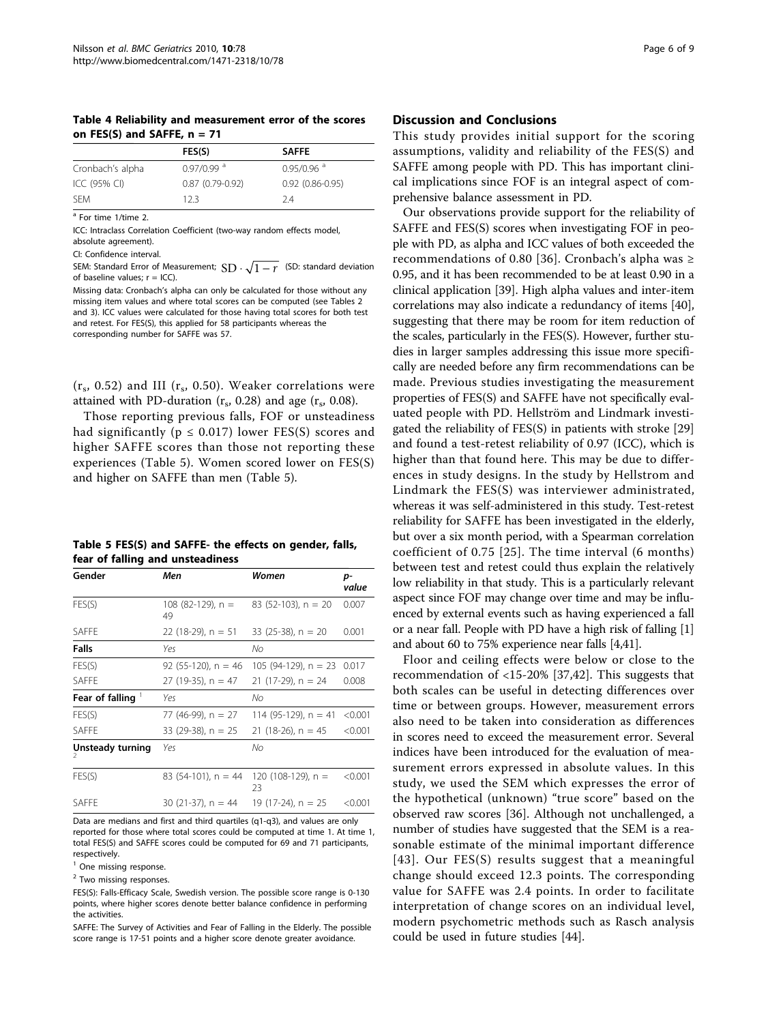<span id="page-5-0"></span>Table 4 Reliability and measurement error of the scores on FES(S) and SAFFE,  $n = 71$ 

|                  | FES(S)                   | <b>SAFFE</b>             |
|------------------|--------------------------|--------------------------|
| Cronbach's alpha | $0.97/0.99$ <sup>a</sup> | $0.95/0.96$ <sup>a</sup> |
| ICC (95% CI)     | $0.87(0.79-0.92)$        | $0.92(0.86 - 0.95)$      |
| <b>SEM</b>       | 123                      | 24                       |

<sup>a</sup> For time 1/time 2.

ICC: Intraclass Correlation Coefficient (two-way random effects model, absolute agreement).

CI: Confidence interval.

SEM: Standard Error of Measurement;  $SD \cdot \sqrt{1-r}$  (SD: standard deviation of baseline values;  $r = ICC$ ).

Missing data: Cronbach's alpha can only be calculated for those without any missing item values and where total scores can be computed (see Tables 2 and 3). ICC values were calculated for those having total scores for both test and retest. For FES(S), this applied for 58 participants whereas the corresponding number for SAFFE was 57.

 $(r<sub>s</sub>, 0.52)$  and III  $(r<sub>s</sub>, 0.50)$ . Weaker correlations were attained with PD-duration  $(r_s, 0.28)$  and age  $(r_s, 0.08)$ .

Those reporting previous falls, FOF or unsteadiness had significantly ( $p \leq 0.017$ ) lower FES(S) scores and higher SAFFE scores than those not reporting these experiences (Table 5). Women scored lower on FES(S) and higher on SAFFE than men (Table 5).

| Table 5 FES(S) and SAFFE- the effects on gender, falls, |  |  |  |  |
|---------------------------------------------------------|--|--|--|--|
| fear of falling and unsteadiness                        |  |  |  |  |

| Gender              | Men                     | Women                      | p-<br>value |
|---------------------|-------------------------|----------------------------|-------------|
| FES(S)              | 108 (82-129), n =<br>49 | 83 (52-103), $n = 20$      | 0.007       |
| <b>SAFFE</b>        | 22 (18-29), $n = 51$    | 33 (25-38), $n = 20$       | 0.001       |
| Falls               | Yes                     | No                         |             |
| FES(S)              | 92 (55-120), $n = 46$   | $105$ (94-129), n = 23     | 0.017       |
| <b>SAFFE</b>        | $27(19-35)$ , n = 47    | 21 (17-29), $n = 24$       | 0.008       |
| Fear of falling $1$ | Yes                     | No                         |             |
| FES(S)              | 77 (46-99), $n = 27$    | 114 (95-129), $n = 41$     | < 0.001     |
| <b>SAFFE</b>        | 33 (29-38), $n = 25$    | 21 (18-26), $n = 45$       | < 0.001     |
| Unsteady turning    | Yes                     | No                         |             |
| FES(S)              | 83 (54-101), $n = 44$   | 120 (108-129), $n =$<br>23 | < 0.001     |
| <b>SAFFE</b>        | 30 (21-37), $n = 44$    | 19 (17-24), $n = 25$       | < 0.001     |

Data are medians and first and third quartiles (q1-q3), and values are only reported for those where total scores could be computed at time 1. At time 1, total FES(S) and SAFFE scores could be computed for 69 and 71 participants, respectively.

<sup>1</sup> One missing response.

<sup>2</sup> Two missing responses.

FES(S): Falls-Efficacy Scale, Swedish version. The possible score range is 0-130 points, where higher scores denote better balance confidence in performing the activities.

SAFFE: The Survey of Activities and Fear of Falling in the Elderly. The possible score range is 17-51 points and a higher score denote greater avoidance.

#### Discussion and Conclusions

This study provides initial support for the scoring assumptions, validity and reliability of the FES(S) and SAFFE among people with PD. This has important clinical implications since FOF is an integral aspect of comprehensive balance assessment in PD.

Our observations provide support for the reliability of SAFFE and FES(S) scores when investigating FOF in people with PD, as alpha and ICC values of both exceeded the recommendations of 0.80 [\[36](#page-7-0)]. Cronbach's alpha was ≥ 0.95, and it has been recommended to be at least 0.90 in a clinical application [[39\]](#page-7-0). High alpha values and inter-item correlations may also indicate a redundancy of items [[40](#page-7-0)], suggesting that there may be room for item reduction of the scales, particularly in the FES(S). However, further studies in larger samples addressing this issue more specifically are needed before any firm recommendations can be made. Previous studies investigating the measurement properties of FES(S) and SAFFE have not specifically evaluated people with PD. Hellström and Lindmark investigated the reliability of FES(S) in patients with stroke [[29](#page-7-0)] and found a test-retest reliability of 0.97 (ICC), which is higher than that found here. This may be due to differences in study designs. In the study by Hellstrom and Lindmark the FES(S) was interviewer administrated, whereas it was self-administered in this study. Test-retest reliability for SAFFE has been investigated in the elderly, but over a six month period, with a Spearman correlation coefficient of 0.75 [[25](#page-7-0)]. The time interval (6 months) between test and retest could thus explain the relatively low reliability in that study. This is a particularly relevant aspect since FOF may change over time and may be influenced by external events such as having experienced a fall or a near fall. People with PD have a high risk of falling [[1](#page-7-0)] and about 60 to 75% experience near falls [\[4,41](#page-7-0)].

Floor and ceiling effects were below or close to the recommendation of <15-20% [\[37,42](#page-7-0)]. This suggests that both scales can be useful in detecting differences over time or between groups. However, measurement errors also need to be taken into consideration as differences in scores need to exceed the measurement error. Several indices have been introduced for the evaluation of measurement errors expressed in absolute values. In this study, we used the SEM which expresses the error of the hypothetical (unknown) "true score" based on the observed raw scores [\[36](#page-7-0)]. Although not unchallenged, a number of studies have suggested that the SEM is a reasonable estimate of the minimal important difference [[43](#page-7-0)]. Our FES(S) results suggest that a meaningful change should exceed 12.3 points. The corresponding value for SAFFE was 2.4 points. In order to facilitate interpretation of change scores on an individual level, modern psychometric methods such as Rasch analysis could be used in future studies [[44](#page-7-0)].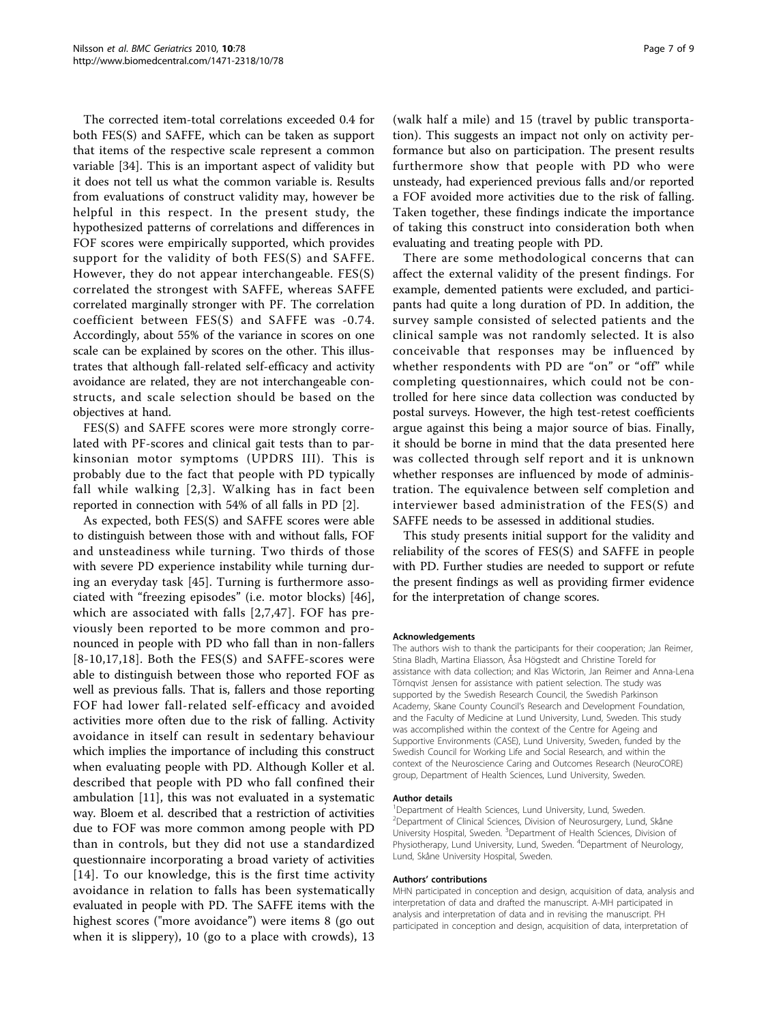The corrected item-total correlations exceeded 0.4 for both FES(S) and SAFFE, which can be taken as support that items of the respective scale represent a common variable [\[34](#page-7-0)]. This is an important aspect of validity but it does not tell us what the common variable is. Results from evaluations of construct validity may, however be helpful in this respect. In the present study, the hypothesized patterns of correlations and differences in FOF scores were empirically supported, which provides support for the validity of both FES(S) and SAFFE. However, they do not appear interchangeable. FES(S) correlated the strongest with SAFFE, whereas SAFFE correlated marginally stronger with PF. The correlation coefficient between FES(S) and SAFFE was -0.74. Accordingly, about 55% of the variance in scores on one scale can be explained by scores on the other. This illustrates that although fall-related self-efficacy and activity avoidance are related, they are not interchangeable constructs, and scale selection should be based on the objectives at hand.

FES(S) and SAFFE scores were more strongly correlated with PF-scores and clinical gait tests than to parkinsonian motor symptoms (UPDRS III). This is probably due to the fact that people with PD typically fall while walking [[2](#page-7-0),[3](#page-7-0)]. Walking has in fact been reported in connection with 54% of all falls in PD [\[2](#page-7-0)].

As expected, both FES(S) and SAFFE scores were able to distinguish between those with and without falls, FOF and unsteadiness while turning. Two thirds of those with severe PD experience instability while turning during an everyday task [[45](#page-7-0)]. Turning is furthermore associated with "freezing episodes" (i.e. motor blocks) [[46](#page-7-0)], which are associated with falls [[2,7](#page-7-0),[47](#page-8-0)]. FOF has previously been reported to be more common and pronounced in people with PD who fall than in non-fallers [[8](#page-7-0)-[10](#page-7-0),[17](#page-7-0),[18](#page-7-0)]. Both the FES(S) and SAFFE-scores were able to distinguish between those who reported FOF as well as previous falls. That is, fallers and those reporting FOF had lower fall-related self-efficacy and avoided activities more often due to the risk of falling. Activity avoidance in itself can result in sedentary behaviour which implies the importance of including this construct when evaluating people with PD. Although Koller et al. described that people with PD who fall confined their ambulation [[11\]](#page-7-0), this was not evaluated in a systematic way. Bloem et al. described that a restriction of activities due to FOF was more common among people with PD than in controls, but they did not use a standardized questionnaire incorporating a broad variety of activities [[14\]](#page-7-0). To our knowledge, this is the first time activity avoidance in relation to falls has been systematically evaluated in people with PD. The SAFFE items with the highest scores ("more avoidance") were items 8 (go out when it is slippery), 10 (go to a place with crowds), 13

(walk half a mile) and 15 (travel by public transportation). This suggests an impact not only on activity performance but also on participation. The present results furthermore show that people with PD who were unsteady, had experienced previous falls and/or reported a FOF avoided more activities due to the risk of falling. Taken together, these findings indicate the importance of taking this construct into consideration both when evaluating and treating people with PD.

There are some methodological concerns that can affect the external validity of the present findings. For example, demented patients were excluded, and participants had quite a long duration of PD. In addition, the survey sample consisted of selected patients and the clinical sample was not randomly selected. It is also conceivable that responses may be influenced by whether respondents with PD are "on" or "off" while completing questionnaires, which could not be controlled for here since data collection was conducted by postal surveys. However, the high test-retest coefficients argue against this being a major source of bias. Finally, it should be borne in mind that the data presented here was collected through self report and it is unknown whether responses are influenced by mode of administration. The equivalence between self completion and interviewer based administration of the FES(S) and SAFFE needs to be assessed in additional studies.

This study presents initial support for the validity and reliability of the scores of FES(S) and SAFFE in people with PD. Further studies are needed to support or refute the present findings as well as providing firmer evidence for the interpretation of change scores.

#### Acknowledgements

The authors wish to thank the participants for their cooperation; Jan Reimer, Stina Bladh, Martina Eliasson, Åsa Högstedt and Christine Toreld for assistance with data collection; and Klas Wictorin, Jan Reimer and Anna-Lena Törnqvist Jensen for assistance with patient selection. The study was supported by the Swedish Research Council, the Swedish Parkinson Academy, Skane County Council's Research and Development Foundation, and the Faculty of Medicine at Lund University, Lund, Sweden. This study was accomplished within the context of the Centre for Ageing and Supportive Environments (CASE), Lund University, Sweden, funded by the Swedish Council for Working Life and Social Research, and within the context of the Neuroscience Caring and Outcomes Research (NeuroCORE) group, Department of Health Sciences, Lund University, Sweden.

#### Author details

<sup>1</sup>Department of Health Sciences, Lund University, Lund, Sweden. <sup>2</sup>Department of Clinical Sciences, Division of Neurosurgery, Lund, Skåne University Hospital, Sweden. <sup>3</sup>Department of Health Sciences, Division of Physiotherapy, Lund University, Lund, Sweden. <sup>4</sup>Department of Neurology Lund, Skåne University Hospital, Sweden.

#### Authors' contributions

MHN participated in conception and design, acquisition of data, analysis and interpretation of data and drafted the manuscript. A-MH participated in analysis and interpretation of data and in revising the manuscript. PH participated in conception and design, acquisition of data, interpretation of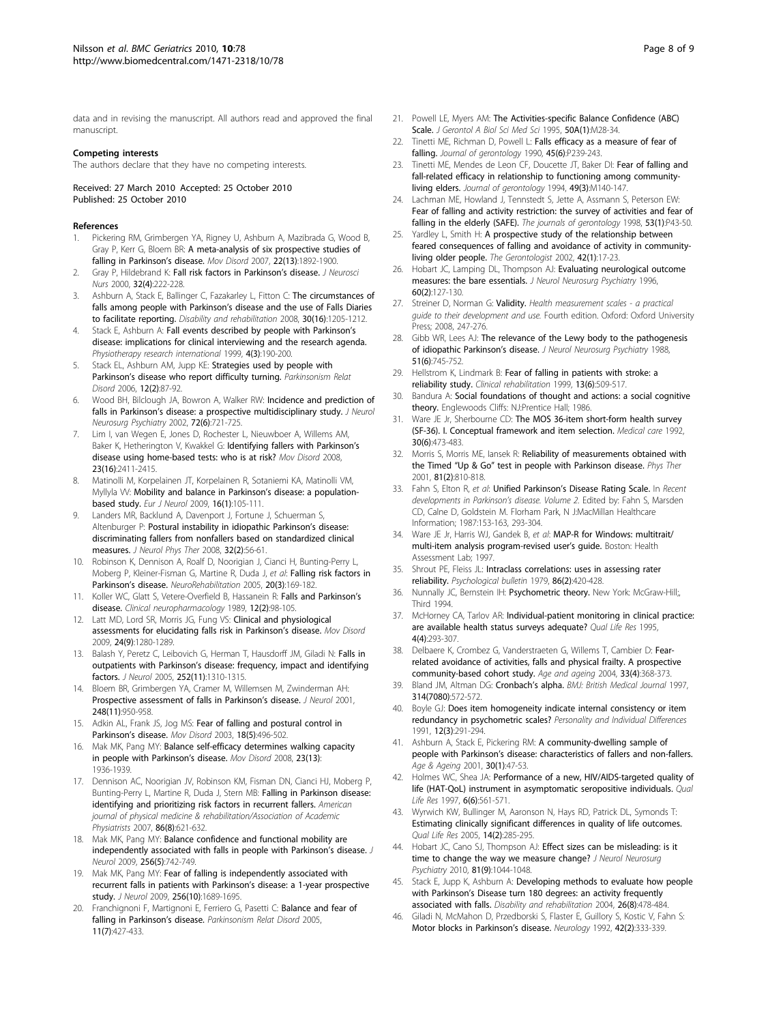<span id="page-7-0"></span>data and in revising the manuscript. All authors read and approved the final manuscript.

#### Competing interests

The authors declare that they have no competing interests.

Received: 27 March 2010 Accepted: 25 October 2010 Published: 25 October 2010

#### References

- Pickering RM, Grimbergen YA, Rigney U, Ashburn A, Mazibrada G, Wood B, Gray P, Kerr G, Bloem BR: [A meta-analysis of six prospective studies of](http://www.ncbi.nlm.nih.gov/pubmed/17588236?dopt=Abstract) [falling in Parkinson](http://www.ncbi.nlm.nih.gov/pubmed/17588236?dopt=Abstract)'s disease. Mov Disord 2007, 22(13):1892-1900.
- 2. Gray P, Hildebrand K: [Fall risk factors in Parkinson](http://www.ncbi.nlm.nih.gov/pubmed/10994536?dopt=Abstract)'s disease. J Neurosci Nurs 2000, 32(4):222-228.
- Ashburn A, Stack E, Ballinger C, Fazakarley L, Fitton C: [The circumstances of](http://www.ncbi.nlm.nih.gov/pubmed/18608387?dopt=Abstract) falls among people with Parkinson'[s disease and the use of Falls Diaries](http://www.ncbi.nlm.nih.gov/pubmed/18608387?dopt=Abstract) [to facilitate reporting.](http://www.ncbi.nlm.nih.gov/pubmed/18608387?dopt=Abstract) Disability and rehabilitation 2008, 30(16):1205-1212.
- 4. Stack E, Ashburn A: [Fall events described by people with Parkinson](http://www.ncbi.nlm.nih.gov/pubmed/10581625?dopt=Abstract)'s [disease: implications for clinical interviewing and the research agenda.](http://www.ncbi.nlm.nih.gov/pubmed/10581625?dopt=Abstract) Physiotherapy research international 1999, 4(3):190-200.
- Stack EL, Ashburn AM, Jupp KE: [Strategies used by people with](http://www.ncbi.nlm.nih.gov/pubmed/16338159?dopt=Abstract) Parkinson'[s disease who report difficulty turning.](http://www.ncbi.nlm.nih.gov/pubmed/16338159?dopt=Abstract) Parkinsonism Relat Disord 2006, 12(2):87-92.
- 6. Wood BH, Bilclough JA, Bowron A, Walker RW: [Incidence and prediction of](http://www.ncbi.nlm.nih.gov/pubmed/12023412?dopt=Abstract) falls in Parkinson'[s disease: a prospective multidisciplinary study.](http://www.ncbi.nlm.nih.gov/pubmed/12023412?dopt=Abstract) J Neurol Neurosurg Psychiatry 2002, 72(6):721-725.
- 7. Lim I, van Wegen E, Jones D, Rochester L, Nieuwboer A, Willems AM, Baker K, Hetherington V, Kwakkel G: [Identifying fallers with Parkinson](http://www.ncbi.nlm.nih.gov/pubmed/18942084?dopt=Abstract)'s [disease using home-based tests: who is at risk?](http://www.ncbi.nlm.nih.gov/pubmed/18942084?dopt=Abstract) Mov Disord 2008, 23(16):2411-2415.
- 8. Matinolli M, Korpelainen JT, Korpelainen R, Sotaniemi KA, Matinolli VM, Myllyla VV: [Mobility and balance in Parkinson](http://www.ncbi.nlm.nih.gov/pubmed/19018871?dopt=Abstract)'s disease: a population[based study.](http://www.ncbi.nlm.nih.gov/pubmed/19018871?dopt=Abstract) Eur J Neurol 2009, 16(1):105-111.
- 9. Landers MR, Backlund A, Davenport J, Fortune J, Schuerman S, Altenburger P: [Postural instability in idiopathic Parkinson](http://www.ncbi.nlm.nih.gov/pubmed/18645292?dopt=Abstract)'s disease: [discriminating fallers from nonfallers based on standardized clinical](http://www.ncbi.nlm.nih.gov/pubmed/18645292?dopt=Abstract) [measures.](http://www.ncbi.nlm.nih.gov/pubmed/18645292?dopt=Abstract) J Neurol Phys Ther 2008, 32(2):56-61.
- 10. Robinson K, Dennison A, Roalf D, Noorigian J, Cianci H, Bunting-Perry L, Moberg P, Kleiner-Fisman G, Martine R, Duda J, et al: [Falling risk factors in](http://www.ncbi.nlm.nih.gov/pubmed/16340098?dopt=Abstract) [Parkinson](http://www.ncbi.nlm.nih.gov/pubmed/16340098?dopt=Abstract)'s disease. NeuroRehabilitation 2005, 20(3):169-182
- 11. Koller WC, Glatt S, Vetere-Overfield B, Hassanein R: [Falls and Parkinson](http://www.ncbi.nlm.nih.gov/pubmed/2720700?dopt=Abstract)'s [disease.](http://www.ncbi.nlm.nih.gov/pubmed/2720700?dopt=Abstract) Clinical neuropharmacology 1989, 12(2):98-105.
- 12. Latt MD, Lord SR, Morris JG, Fung VS: [Clinical and physiological](http://www.ncbi.nlm.nih.gov/pubmed/19425059?dopt=Abstract) [assessments for elucidating falls risk in Parkinson](http://www.ncbi.nlm.nih.gov/pubmed/19425059?dopt=Abstract)'s disease. Mov Disord 2009, 24(9):1280-1289.
- 13. Balash Y, Peretz C, Leibovich G, Herman T, Hausdorff JM, Giladi N: [Falls in](http://www.ncbi.nlm.nih.gov/pubmed/15895303?dopt=Abstract) outpatients with Parkinson'[s disease: frequency, impact and identifying](http://www.ncbi.nlm.nih.gov/pubmed/15895303?dopt=Abstract) [factors.](http://www.ncbi.nlm.nih.gov/pubmed/15895303?dopt=Abstract) J Neurol 2005, 252(11):1310-1315.
- 14. Bloem BR, Grimbergen YA, Cramer M, Willemsen M, Zwinderman AH: [Prospective assessment of falls in Parkinson](http://www.ncbi.nlm.nih.gov/pubmed/11757958?dopt=Abstract)'s disease. J Neurol 2001, 248(11):950-958.
- 15. Adkin AL, Frank JS, Jog MS: [Fear of falling and postural control in](http://www.ncbi.nlm.nih.gov/pubmed/12722162?dopt=Abstract) [Parkinson](http://www.ncbi.nlm.nih.gov/pubmed/12722162?dopt=Abstract)'s disease. Mov Disord 2003, 18(5):496-502.
- 16. Mak MK, Pang MY: [Balance self-efficacy determines walking capacity](http://www.ncbi.nlm.nih.gov/pubmed/18759335?dopt=Abstract) [in people with Parkinson](http://www.ncbi.nlm.nih.gov/pubmed/18759335?dopt=Abstract)'s disease. Mov Disord 2008, 23(13): 1936-1939.
- 17. Dennison AC, Noorigian JV, Robinson KM, Fisman DN, Cianci HJ, Moberg P, Bunting-Perry L, Martine R, Duda J, Stern MB: Falling in Parkinson disease: identifying and prioritizing risk factors in recurrent fallers. American journal of physical medicine & rehabilitation/Association of Academic Physiatrists 2007, 86(8):621-632.
- 18. Mak MK, Pang MY: [Balance confidence and functional mobility are](http://www.ncbi.nlm.nih.gov/pubmed/19240961?dopt=Abstract) [independently associated with falls in people with Parkinson](http://www.ncbi.nlm.nih.gov/pubmed/19240961?dopt=Abstract)'s disease. J Neurol 2009, 256(5):742-749.
- 19. Mak MK, Pang MY: [Fear of falling is independently associated with](http://www.ncbi.nlm.nih.gov/pubmed/19479166?dopt=Abstract) [recurrent falls in patients with Parkinson](http://www.ncbi.nlm.nih.gov/pubmed/19479166?dopt=Abstract)'s disease: a 1-year prospective [study.](http://www.ncbi.nlm.nih.gov/pubmed/19479166?dopt=Abstract) J Neurol 2009, 256(10):1689-1695.
- 20. Franchignoni F, Martignoni E, Ferriero G, Pasetti C: [Balance and fear of](http://www.ncbi.nlm.nih.gov/pubmed/16154789?dopt=Abstract) [falling in Parkinson](http://www.ncbi.nlm.nih.gov/pubmed/16154789?dopt=Abstract)'s disease. Parkinsonism Relat Disord 2005, 11(7):427-433.
- 21. Powell LE, Myers AM: [The Activities-specific Balance Confidence \(ABC\)](http://www.ncbi.nlm.nih.gov/pubmed/7814786?dopt=Abstract) [Scale.](http://www.ncbi.nlm.nih.gov/pubmed/7814786?dopt=Abstract) J Gerontol A Biol Sci Med Sci 1995, 50A(1):M28-34.
- 22. Tinetti ME, Richman D, Powell L: [Falls efficacy as a measure of fear of](http://www.ncbi.nlm.nih.gov/pubmed/2229948?dopt=Abstract) [falling.](http://www.ncbi.nlm.nih.gov/pubmed/2229948?dopt=Abstract) Journal of gerontology 1990, 45(6):P239-243.
- 23. Tinetti ME, Mendes de Leon CE, Doucette JT, Baker DI: [Fear of falling and](http://www.ncbi.nlm.nih.gov/pubmed/8169336?dopt=Abstract) [fall-related efficacy in relationship to functioning among community](http://www.ncbi.nlm.nih.gov/pubmed/8169336?dopt=Abstract)[living elders.](http://www.ncbi.nlm.nih.gov/pubmed/8169336?dopt=Abstract) Journal of gerontology 1994, 49(3):M140-147.
- 24. Lachman ME, Howland J, Tennstedt S, Jette A, Assmann S, Peterson EW: [Fear of falling and activity restriction: the survey of activities and fear of](http://www.ncbi.nlm.nih.gov/pubmed/9469171?dopt=Abstract) [falling in the elderly \(SAFE\).](http://www.ncbi.nlm.nih.gov/pubmed/9469171?dopt=Abstract) The journals of gerontology 1998, 53(1):P43-50.
- 25. Yardley L, Smith H: [A prospective study of the relationship between](http://www.ncbi.nlm.nih.gov/pubmed/11815695?dopt=Abstract) [feared consequences of falling and avoidance of activity in community](http://www.ncbi.nlm.nih.gov/pubmed/11815695?dopt=Abstract)[living older people.](http://www.ncbi.nlm.nih.gov/pubmed/11815695?dopt=Abstract) The Gerontologist 2002, 42(1):17-23.
- 26. Hobart JC, Lamping DL, Thompson AJ: [Evaluating neurological outcome](http://www.ncbi.nlm.nih.gov/pubmed/8708638?dopt=Abstract) [measures: the bare essentials.](http://www.ncbi.nlm.nih.gov/pubmed/8708638?dopt=Abstract) J Neurol Neurosurg Psychiatry 1996, 60(2):127-130.
- 27. Streiner D, Norman G: Validity. Health measurement scales a practical guide to their development and use. Fourth edition. Oxford: Oxford University Press; 2008, 247-276.
- 28. Gibb WR, Lees AJ: [The relevance of the Lewy body to the pathogenesis](http://www.ncbi.nlm.nih.gov/pubmed/2841426?dopt=Abstract) [of idiopathic Parkinson](http://www.ncbi.nlm.nih.gov/pubmed/2841426?dopt=Abstract)'s disease. J Neurol Neurosurg Psychiatry 1988, 51(6):745-752.
- 29. Hellstrom K, Lindmark B: [Fear of falling in patients with stroke: a](http://www.ncbi.nlm.nih.gov/pubmed/10588538?dopt=Abstract) [reliability study.](http://www.ncbi.nlm.nih.gov/pubmed/10588538?dopt=Abstract) Clinical rehabilitation 1999, 13(6):509-517.
- 30. Bandura A: Social foundations of thought and actions: a social cognitive theory. Englewoods Cliffs: NJ:Prentice Hall; 1986.
- 31. Ware JE Jr, Sherbourne CD: [The MOS 36-item short-form health survey](http://www.ncbi.nlm.nih.gov/pubmed/1593914?dopt=Abstract) [\(SF-36\). I. Conceptual framework and item selection.](http://www.ncbi.nlm.nih.gov/pubmed/1593914?dopt=Abstract) Medical care 1992, 30(6):473-483.
- 32. Morris S, Morris ME, Iansek R: [Reliability of measurements obtained with](http://www.ncbi.nlm.nih.gov/pubmed/11175678?dopt=Abstract) the Timed "Up & Go" [test in people with Parkinson disease.](http://www.ncbi.nlm.nih.gov/pubmed/11175678?dopt=Abstract) Phys Ther 2001, 81(2):810-818.
- 33. Fahn S, Elton R, et al: Unified Parkinson's Disease Rating Scale. In Recent developments in Parkinson's disease. Volume 2. Edited by: Fahn S, Marsden CD, Calne D, Goldstein M. Florham Park, N J:MacMillan Healthcare Information; 1987:153-163, 293-304.
- 34. Ware JE Jr, Harris WJ, Gandek B, et al: MAP-R for Windows: multitrait/ multi-item analysis program-revised user's guide. Boston: Health Assessment Lab; 1997.
- 35. Shrout PE, Fleiss JL: [Intraclass correlations: uses in assessing rater](http://www.ncbi.nlm.nih.gov/pubmed/18839484?dopt=Abstract) [reliability.](http://www.ncbi.nlm.nih.gov/pubmed/18839484?dopt=Abstract) Psychological bulletin 1979, 86(2):420-428.
- Nunnally JC, Bernstein IH: Psychometric theory. New York: McGraw-Hill;, Third 1994.
- 37. McHorney CA, Tarlov AR: [Individual-patient monitoring in clinical practice:](http://www.ncbi.nlm.nih.gov/pubmed/7550178?dopt=Abstract) [are available health status surveys adequate?](http://www.ncbi.nlm.nih.gov/pubmed/7550178?dopt=Abstract) Qual Life Res 1995, 4(4):293-307.
- 38. Delbaere K, Crombez G, Vanderstraeten G, Willems T, Cambier D: [Fear](http://www.ncbi.nlm.nih.gov/pubmed/15047574?dopt=Abstract)[related avoidance of activities, falls and physical frailty. A prospective](http://www.ncbi.nlm.nih.gov/pubmed/15047574?dopt=Abstract) [community-based cohort study.](http://www.ncbi.nlm.nih.gov/pubmed/15047574?dopt=Abstract) Age and ageing 2004, 33(4):368-373.
- 39. Bland JM, Altman DG: Cronbach's alpha. BMJ: British Medical Journal 1997, 314(7080):572-572.
- 40. Boyle GJ: Does item homogeneity indicate internal consistency or item redundancy in psychometric scales? Personality and Individual Differences 1991, 12(3):291-294.
- 41. Ashburn A, Stack E, Pickering RM: A community-dwelling sample of people with Parkinson's disease: characteristics of fallers and non-fallers. Age & Ageing 2001, 30(1):47-53.
- 42. Holmes WC, Shea JA: [Performance of a new, HIV/AIDS-targeted quality of](http://www.ncbi.nlm.nih.gov/pubmed/9330555?dopt=Abstract) [life \(HAT-QoL\) instrument in asymptomatic seropositive individuals.](http://www.ncbi.nlm.nih.gov/pubmed/9330555?dopt=Abstract) Qual Life Res 1997, 6(6):561-571.
- 43. Wyrwich KW, Bullinger M, Aaronson N, Hays RD, Patrick DL, Symonds T: [Estimating clinically significant differences in quality of life outcomes.](http://www.ncbi.nlm.nih.gov/pubmed/15892420?dopt=Abstract) Qual Life Res 2005, 14(2):285-295.
- 44. Hobart JC, Cano SJ, Thompson AJ: [Effect sizes can be misleading: is it](http://www.ncbi.nlm.nih.gov/pubmed/20627964?dopt=Abstract) [time to change the way we measure change?](http://www.ncbi.nlm.nih.gov/pubmed/20627964?dopt=Abstract) J Neurol Neurosurg Psychiatry 2010, 81(9):1044-1048.
- 45. Stack E, Jupp K, Ashburn A: [Developing methods to evaluate how people](http://www.ncbi.nlm.nih.gov/pubmed/15204470?dopt=Abstract) with Parkinson'[s Disease turn 180 degrees: an activity frequently](http://www.ncbi.nlm.nih.gov/pubmed/15204470?dopt=Abstract) [associated with falls.](http://www.ncbi.nlm.nih.gov/pubmed/15204470?dopt=Abstract) Disability and rehabilitation 2004, 26(8):478-484.
- 46. Giladi N, McMahon D, Przedborski S, Flaster E, Guillory S, Kostic V, Fahn S: [Motor blocks in Parkinson](http://www.ncbi.nlm.nih.gov/pubmed/1736161?dopt=Abstract)'s disease. Neurology 1992, 42(2):333-339.